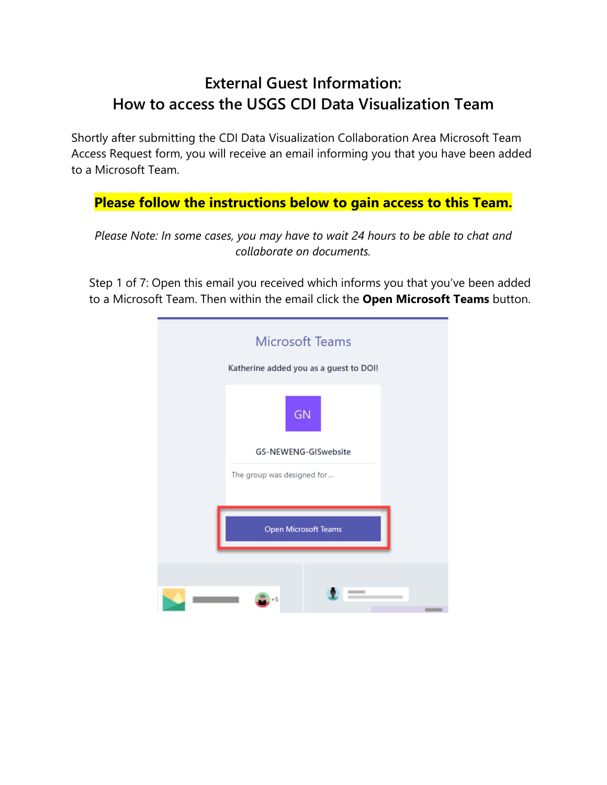## **External Guest Information: How to access the USGS CDI Data Visualization Team**

Shortly after submitting the CDI Data Visualization Collaboration Area Microsoft Team Access Request form, you will receive an email informing you that you have been added to a Microsoft Team.

## **Please follow the instructions below to gain access to this Team.**

*Please Note: In some cases, you may have to wait 24 hours to be able to chat and collaborate on documents.*

Step 1 of 7: Open this email you received which informs you that you've been added to a Microsoft Team. Then within the email click the **Open Microsoft Teams** button.

| <b>Microsoft Teams</b><br>Katherine added you as a guest to DOI! |  |  |
|------------------------------------------------------------------|--|--|
| <b>GN</b>                                                        |  |  |
| <b>GS-NEWENG-GISwebsite</b>                                      |  |  |
| The group was designed for                                       |  |  |
| Open Microsoft Teams                                             |  |  |
|                                                                  |  |  |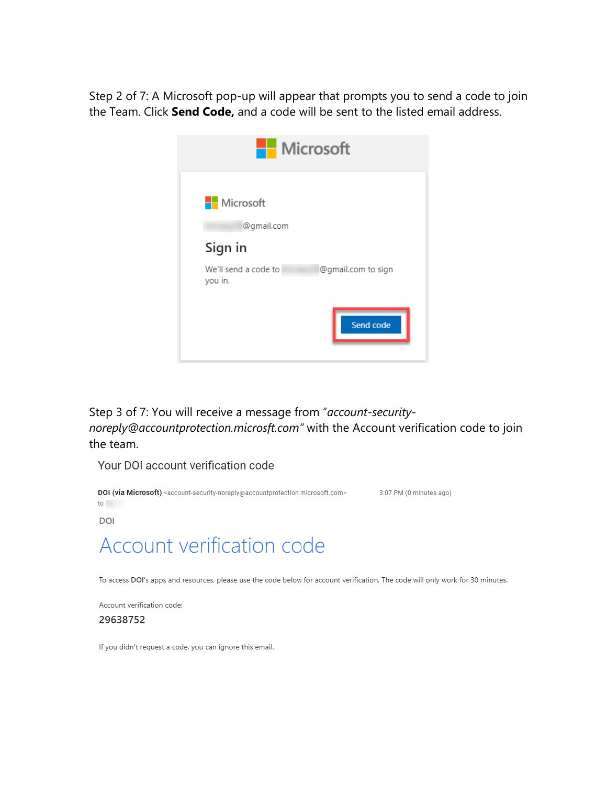Step 2 of 7: A Microsoft pop-up will appear that prompts you to send a code to join the Team. Click **Send Code,** and a code will be sent to the listed email address.

| <b>Nicrosoft</b>                |                    |
|---------------------------------|--------------------|
| <b>Nicrosoft</b>                |                    |
| @gmail.com                      |                    |
| Sign in                         |                    |
| We'll send a code to<br>you in. | @gmail.com to sign |
|                                 | Send code          |
|                                 |                    |

Step 3 of 7: You will receive a message from "*account-securitynoreply@accountprotection.microsft.com"* with the Account verification code to join the team.

Your DOI account verification code



Account verification code:

29638752

If you didn't request a code, you can ignore this email.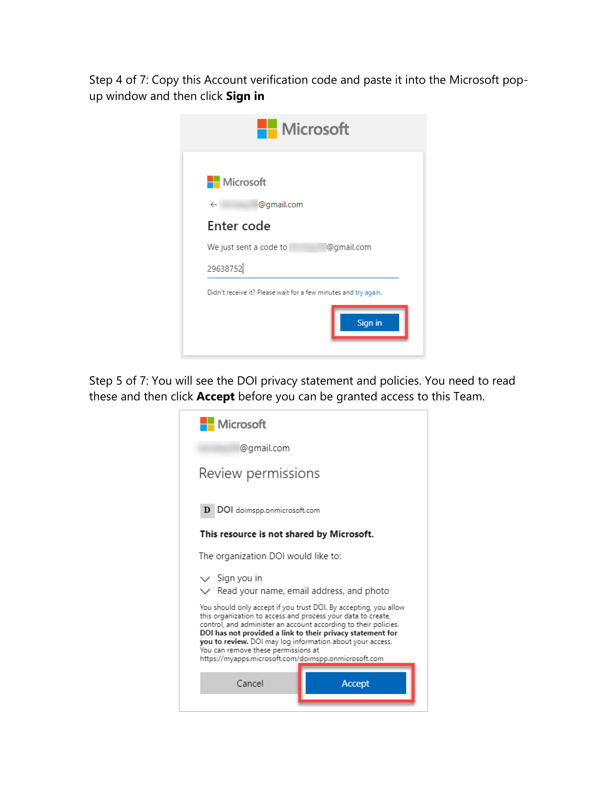Step 4 of 7: Copy this Account verification code and paste it into the Microsoft popup window and then click **Sign in**



Step 5 of 7: You will see the DOI privacy statement and policies. You need to read these and then click **Accept** before you can be granted access to this Team.

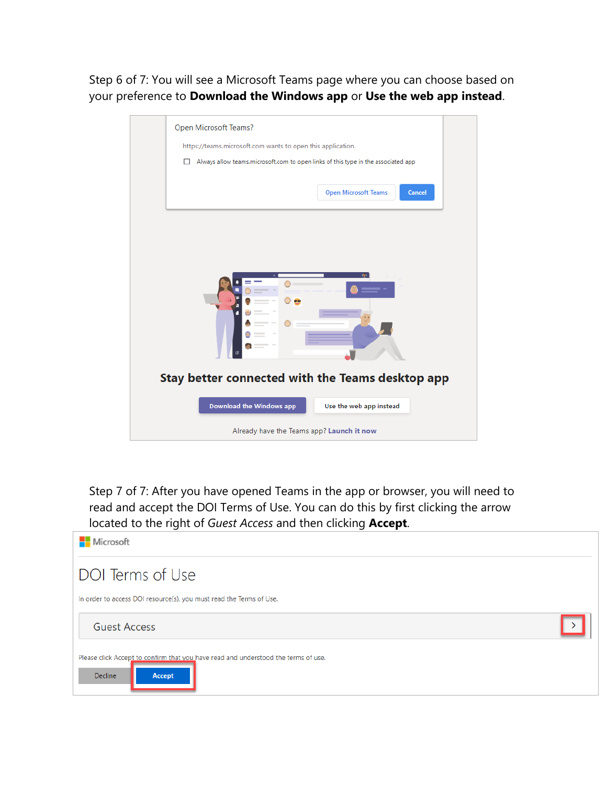Step 6 of 7: You will see a Microsoft Teams page where you can choose based on your preference to **Download the Windows app** or **Use the web app instead**.

| Open Microsoft Teams?                                                                  |  |  |
|----------------------------------------------------------------------------------------|--|--|
| https://teams.microsoft.com wants to open this application.                            |  |  |
| Always allow teams.microsoft.com to open links of this type in the associated app<br>п |  |  |
| <b>Cancel</b><br><b>Open Microsoft Teams</b>                                           |  |  |
|                                                                                        |  |  |
| œ<br>٠.                                                                                |  |  |
| Stay better connected with the Teams desktop app                                       |  |  |
| Download the Windows app<br>Use the web app instead                                    |  |  |
| Already have the Teams app? Launch it now                                              |  |  |

Step 7 of 7: After you have opened Teams in the app or browser, you will need to read and accept the DOI Terms of Use. You can do this by first clicking the arrow located to the right of *Guest Access* and then clicking **Accept**.